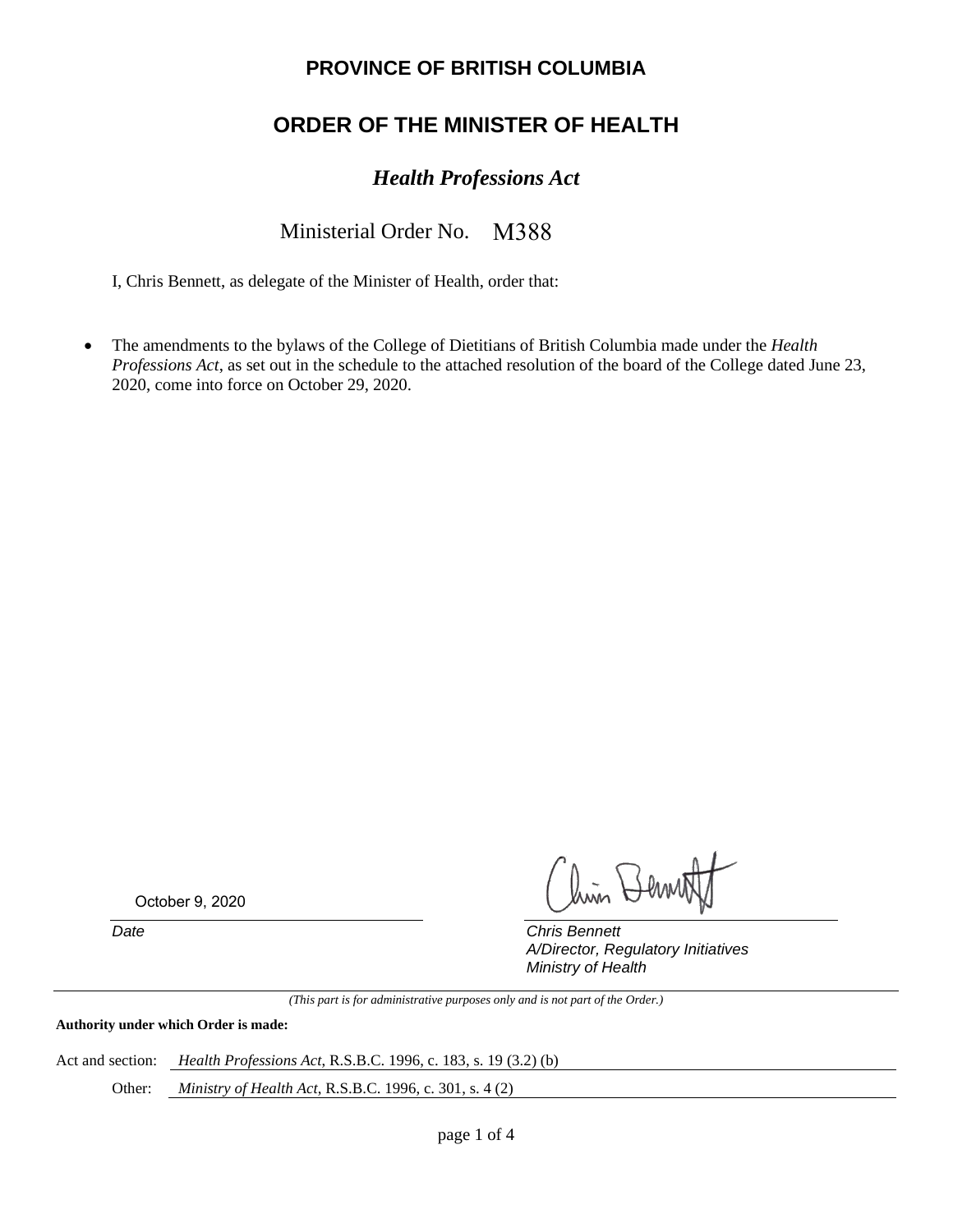### **PROVINCE OF BRITISH COLUMBIA**

# **ORDER OF THE MINISTER OF HEALTH**

## *Health Professions Act*

#### Ministerial Order No. M388

I, Chris Bennett, as delegate of the Minister of Health, order that:

• The amendments to the bylaws of the College of Dietitians of British Columbia made under the *Health Professions Act*, as set out in the schedule to the attached resolution of the board of the College dated June 23, 2020, come into force on October 29, 2020.

October 9, 2020

lin Bern

*Date Chris Bennett A/Director, Regulatory Initiatives Ministry of Health*

*(This part is for administrative purposes only and is not part of the Order.)*

**Authority under which Order is made:**

Act and section: *Health Professions Act*, R.S.B.C. 1996, c. 183, s. 19 (3.2) (b)

Other: *Ministry of Health Act*, R.S.B.C. 1996, c. 301, s. 4 (2)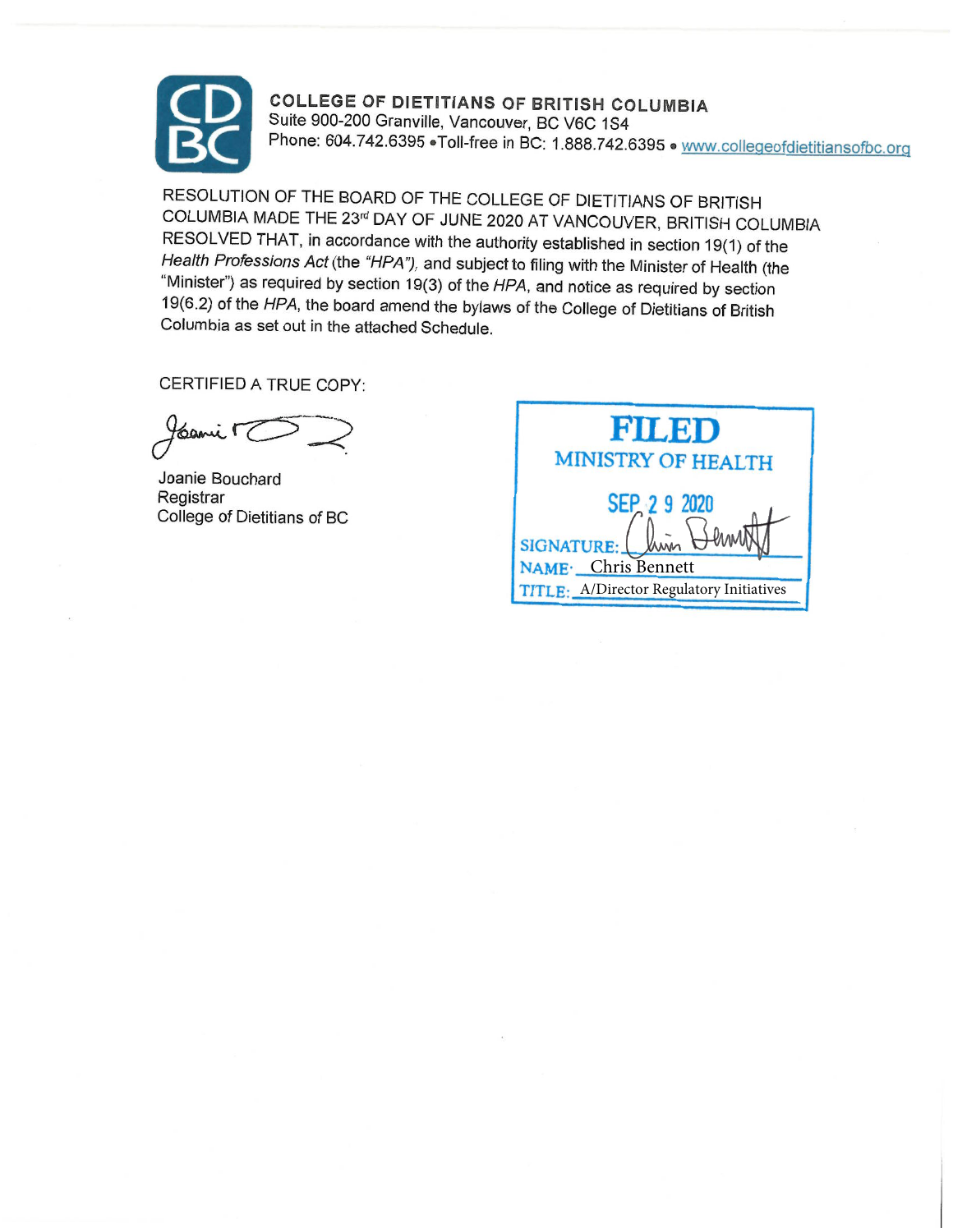

COLLEGE OF DIETITIANS OF BRITISH COLUMBIA<br>Suite 900-200 Granville, Vancouver, BC V6C 1S4<br>Phone: 604.742.6395 • Toll-free in BC: 1.888.742.6395 • www.collegeofdietitiansofbc.org

RESOLUTION OF THE BOARD OF THE COLLEGE OF DIETITIANS OF BRITISH COLUMBIA MADE THE 23<sup>rd</sup> DAY OF JUNE 2020 AT VANCOUVER, BRITISH COLUMBIA<br>RESOLVED THAT, in accordance with the authority established in section 19(1) of the Health Professions Act (the "HPA"), and subject to filing with the Minister of Health (the "Minister") as required by section 19(3) of the HPA, and notice as required by section 19(6.2) of the HPA, the board amend the byla

CERTIFIED A TRUE COPY:

cami r

Joanie Bouchard Registrar College of Dietitians of BC

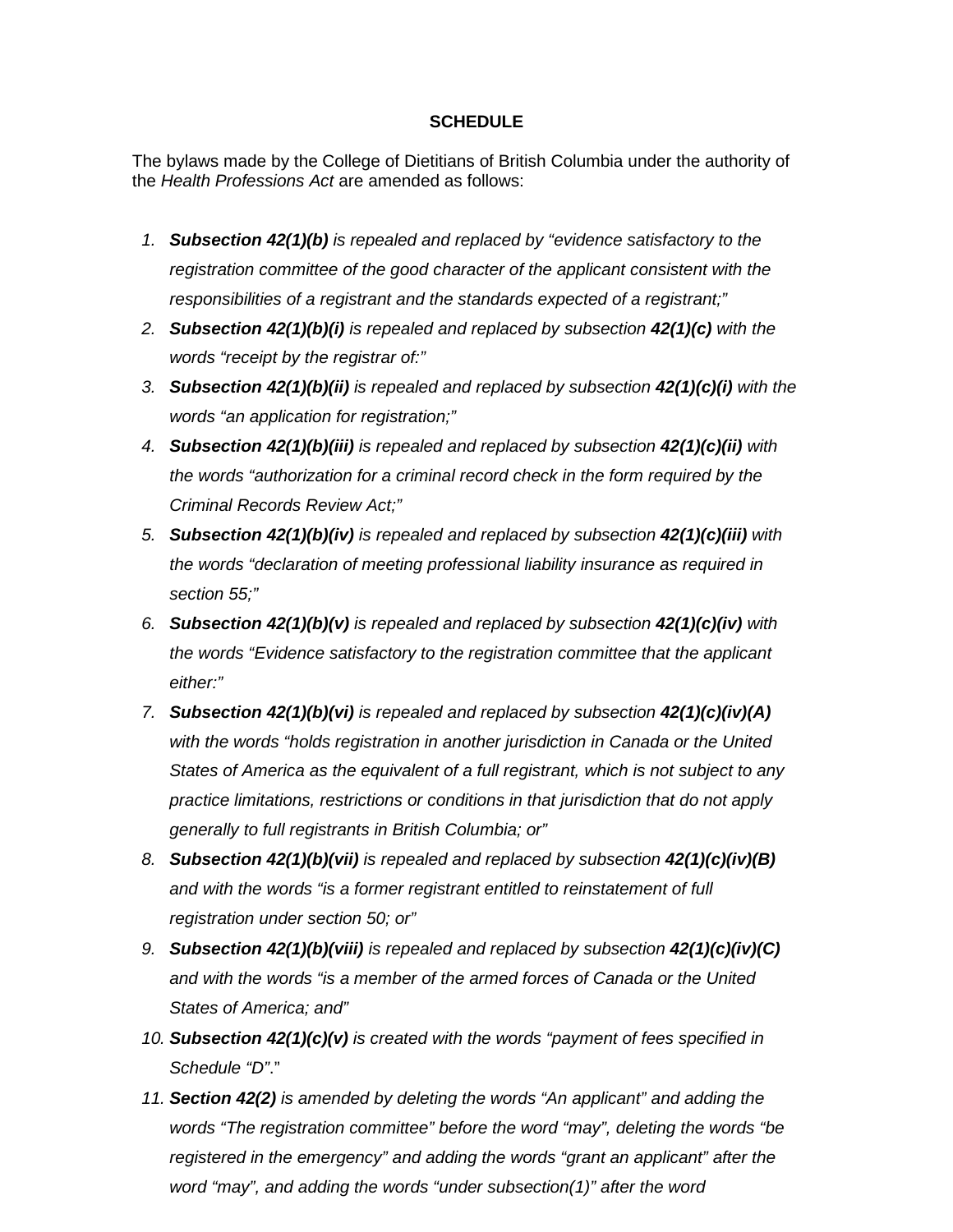#### **SCHEDULE**

The bylaws made by the College of Dietitians of British Columbia under the authority of the *Health Professions Act* are amended as follows:

- *1. Subsection 42(1)(b) is repealed and replaced by "evidence satisfactory to the registration committee of the good character of the applicant consistent with the responsibilities of a registrant and the standards expected of a registrant;"*
- *2. Subsection 42(1)(b)(i) is repealed and replaced by subsection 42(1)(c) with the words "receipt by the registrar of:"*
- *3. Subsection 42(1)(b)(ii) is repealed and replaced by subsection 42(1)(c)(i) with the words "an application for registration;"*
- *4. Subsection 42(1)(b)(iii) is repealed and replaced by subsection 42(1)(c)(ii) with the words "authorization for a criminal record check in the form required by the Criminal Records Review Act;"*
- *5. Subsection 42(1)(b)(iv) is repealed and replaced by subsection 42(1)(c)(iii) with the words "declaration of meeting professional liability insurance as required in section 55;"*
- *6. Subsection 42(1)(b)(v) is repealed and replaced by subsection 42(1)(c)(iv) with the words "Evidence satisfactory to the registration committee that the applicant either:"*
- *7. Subsection 42(1)(b)(vi) is repealed and replaced by subsection 42(1)(c)(iv)(A) with the words "holds registration in another jurisdiction in Canada or the United States of America as the equivalent of a full registrant, which is not subject to any practice limitations, restrictions or conditions in that jurisdiction that do not apply generally to full registrants in British Columbia; or"*
- *8. Subsection 42(1)(b)(vii) is repealed and replaced by subsection 42(1)(c)(iv)(B) and with the words "is a former registrant entitled to reinstatement of full registration under section 50; or"*
- *9. Subsection 42(1)(b)(viii) is repealed and replaced by subsection 42(1)(c)(iv)(C) and with the words "is a member of the armed forces of Canada or the United States of America; and"*
- *10. Subsection 42(1)(c)(v) is created with the words "payment of fees specified in Schedule "D"*."
- *11. Section 42(2) is amended by deleting the words "An applicant" and adding the words "The registration committee" before the word "may", deleting the words "be registered in the emergency" and adding the words "grant an applicant" after the word "may", and adding the words "under subsection(1)" after the word*